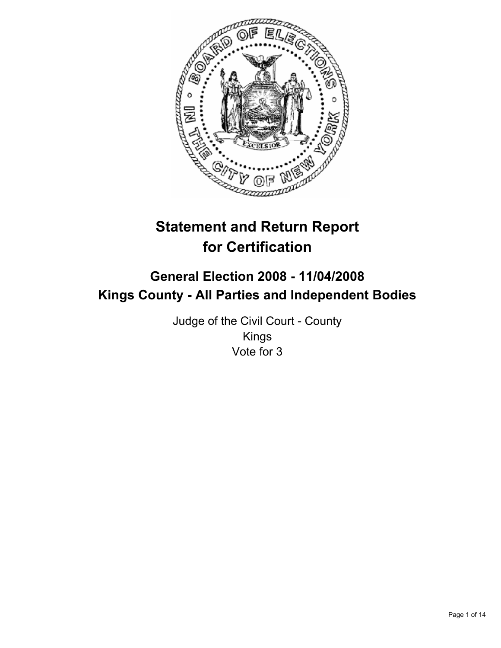

# **Statement and Return Report for Certification**

# **General Election 2008 - 11/04/2008 Kings County - All Parties and Independent Bodies**

Judge of the Civil Court - County Kings Vote for 3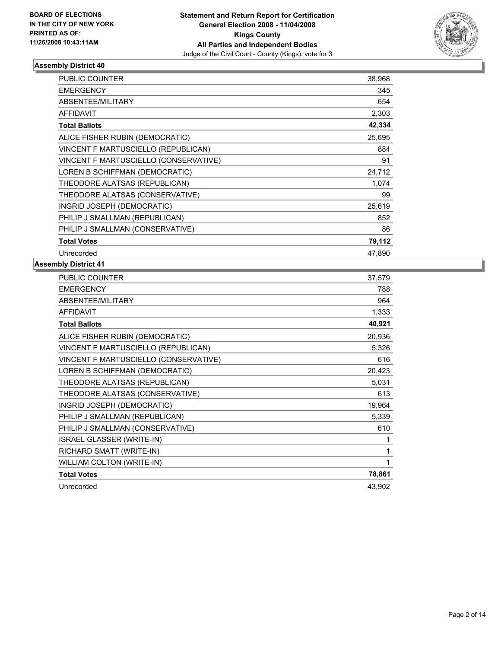

| <b>PUBLIC COUNTER</b>                 | 38,968 |  |
|---------------------------------------|--------|--|
| <b>EMERGENCY</b>                      | 345    |  |
| <b>ABSENTEE/MILITARY</b>              | 654    |  |
| <b>AFFIDAVIT</b>                      | 2,303  |  |
| <b>Total Ballots</b>                  | 42,334 |  |
| ALICE FISHER RUBIN (DEMOCRATIC)       | 25,695 |  |
| VINCENT F MARTUSCIELLO (REPUBLICAN)   | 884    |  |
| VINCENT F MARTUSCIELLO (CONSERVATIVE) | 91     |  |
| LOREN B SCHIFFMAN (DEMOCRATIC)        | 24,712 |  |
| THEODORE ALATSAS (REPUBLICAN)         | 1,074  |  |
| THEODORE ALATSAS (CONSERVATIVE)       | 99     |  |
| INGRID JOSEPH (DEMOCRATIC)            | 25,619 |  |
| PHILIP J SMALLMAN (REPUBLICAN)        | 852    |  |
| PHILIP J SMALLMAN (CONSERVATIVE)      | 86     |  |
| <b>Total Votes</b>                    | 79,112 |  |
| Unrecorded                            | 47,890 |  |

| PUBLIC COUNTER                        | 37,579 |
|---------------------------------------|--------|
| <b>EMERGENCY</b>                      | 788    |
| ABSENTEE/MILITARY                     | 964    |
| <b>AFFIDAVIT</b>                      | 1,333  |
| <b>Total Ballots</b>                  | 40,921 |
| ALICE FISHER RUBIN (DEMOCRATIC)       | 20,936 |
| VINCENT F MARTUSCIELLO (REPUBLICAN)   | 5,326  |
| VINCENT F MARTUSCIELLO (CONSERVATIVE) | 616    |
| LOREN B SCHIFFMAN (DEMOCRATIC)        | 20,423 |
| THEODORE ALATSAS (REPUBLICAN)         | 5,031  |
| THEODORE ALATSAS (CONSERVATIVE)       | 613    |
| INGRID JOSEPH (DEMOCRATIC)            | 19,964 |
| PHILIP J SMALLMAN (REPUBLICAN)        | 5,339  |
| PHILIP J SMALLMAN (CONSERVATIVE)      | 610    |
| <b>ISRAEL GLASSER (WRITE-IN)</b>      |        |
| RICHARD SMATT (WRITE-IN)              |        |
| WILLIAM COLTON (WRITE-IN)             |        |
| <b>Total Votes</b>                    | 78,861 |
| Unrecorded                            | 43,902 |
|                                       |        |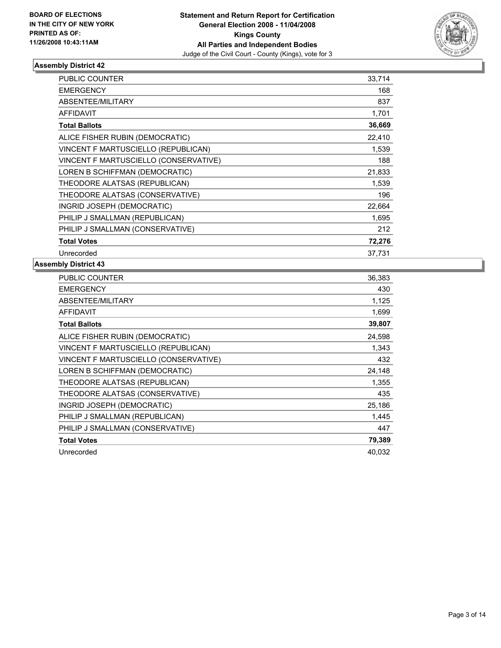

| PUBLIC COUNTER                        | 33,714 |  |
|---------------------------------------|--------|--|
| <b>EMERGENCY</b>                      | 168    |  |
| ABSENTEE/MILITARY                     | 837    |  |
| <b>AFFIDAVIT</b>                      | 1,701  |  |
| <b>Total Ballots</b>                  | 36,669 |  |
| ALICE FISHER RUBIN (DEMOCRATIC)       | 22,410 |  |
| VINCENT F MARTUSCIELLO (REPUBLICAN)   | 1,539  |  |
| VINCENT F MARTUSCIELLO (CONSERVATIVE) | 188    |  |
| LOREN B SCHIFFMAN (DEMOCRATIC)        | 21,833 |  |
| THEODORE ALATSAS (REPUBLICAN)         | 1,539  |  |
| THEODORE ALATSAS (CONSERVATIVE)       | 196    |  |
| INGRID JOSEPH (DEMOCRATIC)            | 22,664 |  |
| PHILIP J SMALLMAN (REPUBLICAN)        | 1,695  |  |
| PHILIP J SMALLMAN (CONSERVATIVE)      | 212    |  |
| <b>Total Votes</b>                    | 72,276 |  |
| Unrecorded                            | 37,731 |  |

| PUBLIC COUNTER                        | 36,383 |
|---------------------------------------|--------|
| <b>EMERGENCY</b>                      | 430    |
| ABSENTEE/MILITARY                     | 1,125  |
| <b>AFFIDAVIT</b>                      | 1,699  |
| <b>Total Ballots</b>                  | 39,807 |
| ALICE FISHER RUBIN (DEMOCRATIC)       | 24,598 |
| VINCENT F MARTUSCIELLO (REPUBLICAN)   | 1,343  |
| VINCENT F MARTUSCIELLO (CONSERVATIVE) | 432    |
| LOREN B SCHIFFMAN (DEMOCRATIC)        | 24,148 |
| THEODORE ALATSAS (REPUBLICAN)         | 1,355  |
| THEODORE ALATSAS (CONSERVATIVE)       | 435    |
| INGRID JOSEPH (DEMOCRATIC)            | 25,186 |
| PHILIP J SMALLMAN (REPUBLICAN)        | 1,445  |
| PHILIP J SMALLMAN (CONSERVATIVE)      | 447    |
| <b>Total Votes</b>                    | 79,389 |
| Unrecorded                            | 40.032 |
|                                       |        |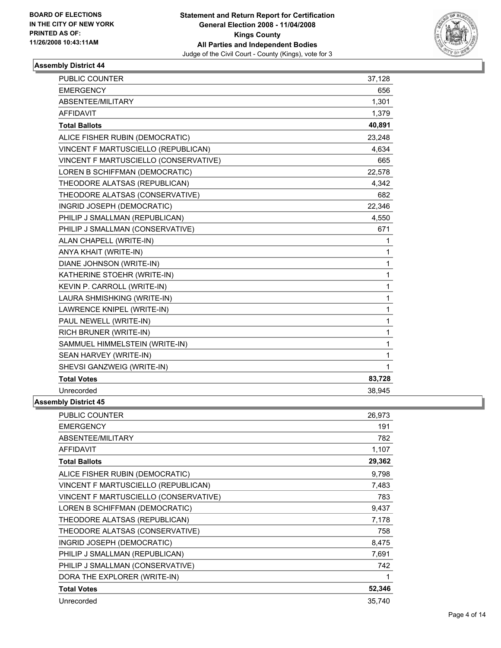

| PUBLIC COUNTER                        | 37,128 |
|---------------------------------------|--------|
| <b>EMERGENCY</b>                      | 656    |
| ABSENTEE/MILITARY                     | 1,301  |
| <b>AFFIDAVIT</b>                      | 1,379  |
| <b>Total Ballots</b>                  | 40,891 |
| ALICE FISHER RUBIN (DEMOCRATIC)       | 23.248 |
| VINCENT F MARTUSCIELLO (REPUBLICAN)   | 4,634  |
| VINCENT F MARTUSCIELLO (CONSERVATIVE) | 665    |
| LOREN B SCHIFFMAN (DEMOCRATIC)        | 22,578 |
| THEODORE ALATSAS (REPUBLICAN)         | 4,342  |
| THEODORE ALATSAS (CONSERVATIVE)       | 682    |
| INGRID JOSEPH (DEMOCRATIC)            | 22,346 |
| PHILIP J SMALLMAN (REPUBLICAN)        | 4,550  |
| PHILIP J SMALLMAN (CONSERVATIVE)      | 671    |
| ALAN CHAPELL (WRITE-IN)               |        |
| ANYA KHAIT (WRITE-IN)                 |        |
| DIANE JOHNSON (WRITE-IN)              | 1      |
| KATHERINE STOEHR (WRITE-IN)           | 1      |
| KEVIN P. CARROLL (WRITE-IN)           | 1      |
| LAURA SHMISHKING (WRITE-IN)           | 1      |
| LAWRENCE KNIPEL (WRITE-IN)            | 1      |
| PAUL NEWELL (WRITE-IN)                | 1      |
| RICH BRUNER (WRITE-IN)                | 1      |
| SAMMUEL HIMMELSTEIN (WRITE-IN)        | 1      |
| SEAN HARVEY (WRITE-IN)                | 1      |
| SHEVSI GANZWEIG (WRITE-IN)            | 1      |
| <b>Total Votes</b>                    | 83,728 |
| Unrecorded                            | 38,945 |

| <b>PUBLIC COUNTER</b>                 | 26,973 |
|---------------------------------------|--------|
| <b>EMERGENCY</b>                      | 191    |
| ABSENTEE/MILITARY                     | 782    |
| <b>AFFIDAVIT</b>                      | 1,107  |
| <b>Total Ballots</b>                  | 29,362 |
| ALICE FISHER RUBIN (DEMOCRATIC)       | 9,798  |
| VINCENT F MARTUSCIELLO (REPUBLICAN)   | 7,483  |
| VINCENT F MARTUSCIELLO (CONSERVATIVE) | 783    |
| LOREN B SCHIFFMAN (DEMOCRATIC)        | 9,437  |
| THEODORE ALATSAS (REPUBLICAN)         | 7,178  |
| THEODORE ALATSAS (CONSERVATIVE)       | 758    |
| INGRID JOSEPH (DEMOCRATIC)            | 8,475  |
| PHILIP J SMALLMAN (REPUBLICAN)        | 7,691  |
| PHILIP J SMALLMAN (CONSERVATIVE)      | 742    |
| DORA THE EXPLORER (WRITE-IN)          |        |
| <b>Total Votes</b>                    | 52,346 |
| Unrecorded                            | 35,740 |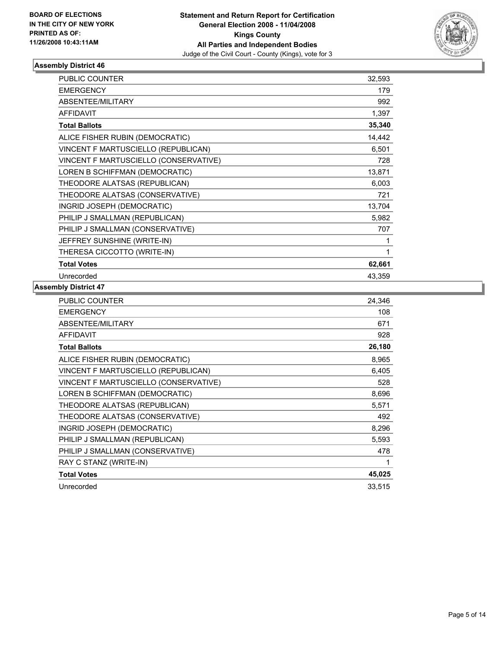

| <b>PUBLIC COUNTER</b>                 | 32,593 |
|---------------------------------------|--------|
| <b>EMERGENCY</b>                      | 179    |
| ABSENTEE/MILITARY                     | 992    |
| <b>AFFIDAVIT</b>                      | 1,397  |
| <b>Total Ballots</b>                  | 35,340 |
| ALICE FISHER RUBIN (DEMOCRATIC)       | 14,442 |
| VINCENT F MARTUSCIELLO (REPUBLICAN)   | 6,501  |
| VINCENT F MARTUSCIELLO (CONSERVATIVE) | 728    |
| LOREN B SCHIFFMAN (DEMOCRATIC)        | 13,871 |
| THEODORE ALATSAS (REPUBLICAN)         | 6,003  |
| THEODORE ALATSAS (CONSERVATIVE)       | 721    |
| INGRID JOSEPH (DEMOCRATIC)            | 13,704 |
| PHILIP J SMALLMAN (REPUBLICAN)        | 5,982  |
| PHILIP J SMALLMAN (CONSERVATIVE)      | 707    |
| JEFFREY SUNSHINE (WRITE-IN)           |        |
| THERESA CICCOTTO (WRITE-IN)           |        |
| <b>Total Votes</b>                    | 62,661 |
| Unrecorded                            | 43,359 |

| PUBLIC COUNTER                        | 24,346 |
|---------------------------------------|--------|
| <b>EMERGENCY</b>                      | 108    |
| ABSENTEE/MILITARY                     | 671    |
| <b>AFFIDAVIT</b>                      | 928    |
| <b>Total Ballots</b>                  | 26,180 |
| ALICE FISHER RUBIN (DEMOCRATIC)       | 8,965  |
| VINCENT F MARTUSCIELLO (REPUBLICAN)   | 6,405  |
| VINCENT F MARTUSCIELLO (CONSERVATIVE) | 528    |
| LOREN B SCHIFFMAN (DEMOCRATIC)        | 8,696  |
| THEODORE ALATSAS (REPUBLICAN)         | 5,571  |
| THEODORE ALATSAS (CONSERVATIVE)       | 492    |
| INGRID JOSEPH (DEMOCRATIC)            | 8,296  |
| PHILIP J SMALLMAN (REPUBLICAN)        | 5,593  |
| PHILIP J SMALLMAN (CONSERVATIVE)      | 478    |
| RAY C STANZ (WRITE-IN)                | 1      |
| <b>Total Votes</b>                    | 45,025 |
| Unrecorded                            | 33,515 |
|                                       |        |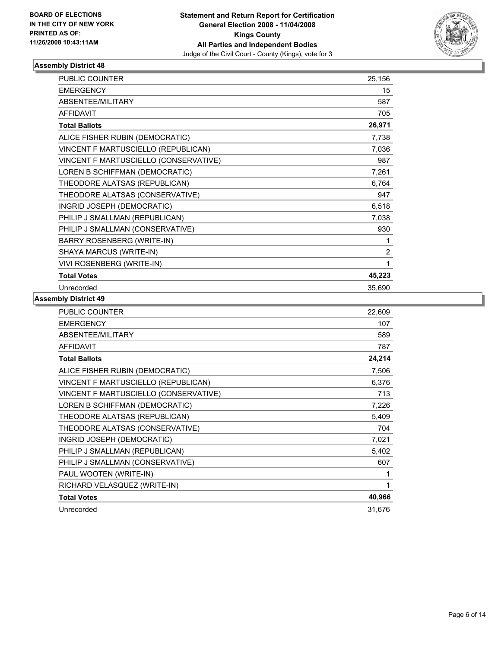

| <b>PUBLIC COUNTER</b>                 | 25,156         |  |
|---------------------------------------|----------------|--|
| <b>EMERGENCY</b>                      | 15             |  |
| <b>ABSENTEE/MILITARY</b>              | 587            |  |
| <b>AFFIDAVIT</b>                      | 705            |  |
| <b>Total Ballots</b>                  | 26,971         |  |
| ALICE FISHER RUBIN (DEMOCRATIC)       | 7,738          |  |
| VINCENT F MARTUSCIELLO (REPUBLICAN)   | 7,036          |  |
| VINCENT F MARTUSCIELLO (CONSERVATIVE) | 987            |  |
| LOREN B SCHIFFMAN (DEMOCRATIC)        | 7,261          |  |
| THEODORE ALATSAS (REPUBLICAN)         | 6,764          |  |
| THEODORE ALATSAS (CONSERVATIVE)       | 947            |  |
| INGRID JOSEPH (DEMOCRATIC)            | 6,518          |  |
| PHILIP J SMALLMAN (REPUBLICAN)        | 7,038          |  |
| PHILIP J SMALLMAN (CONSERVATIVE)      | 930            |  |
| BARRY ROSENBERG (WRITE-IN)            |                |  |
| SHAYA MARCUS (WRITE-IN)               | $\overline{2}$ |  |
| VIVI ROSENBERG (WRITE-IN)             |                |  |
| <b>Total Votes</b>                    | 45,223         |  |
| Unrecorded                            | 35,690         |  |

| PUBLIC COUNTER                        | 22,609 |
|---------------------------------------|--------|
| <b>EMERGENCY</b>                      | 107    |
| ABSENTEE/MILITARY                     | 589    |
| <b>AFFIDAVIT</b>                      | 787    |
| <b>Total Ballots</b>                  | 24,214 |
| ALICE FISHER RUBIN (DEMOCRATIC)       | 7,506  |
| VINCENT F MARTUSCIELLO (REPUBLICAN)   | 6,376  |
| VINCENT F MARTUSCIELLO (CONSERVATIVE) | 713    |
| LOREN B SCHIFFMAN (DEMOCRATIC)        | 7,226  |
| THEODORE ALATSAS (REPUBLICAN)         | 5,409  |
| THEODORE ALATSAS (CONSERVATIVE)       | 704    |
| INGRID JOSEPH (DEMOCRATIC)            | 7,021  |
| PHILIP J SMALLMAN (REPUBLICAN)        | 5,402  |
| PHILIP J SMALLMAN (CONSERVATIVE)      | 607    |
| PAUL WOOTEN (WRITE-IN)                |        |
| RICHARD VELASQUEZ (WRITE-IN)          | 1      |
| <b>Total Votes</b>                    | 40,966 |
| Unrecorded                            | 31,676 |
|                                       |        |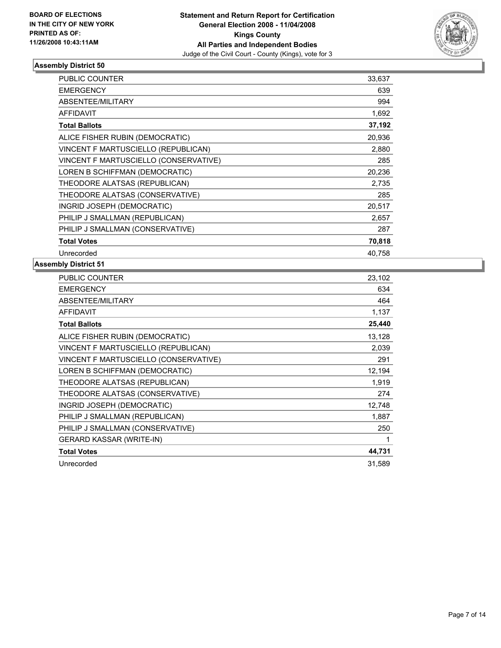

| <b>PUBLIC COUNTER</b>                 | 33,637 |  |
|---------------------------------------|--------|--|
| <b>EMERGENCY</b>                      | 639    |  |
| <b>ABSENTEE/MILITARY</b>              | 994    |  |
| <b>AFFIDAVIT</b>                      | 1,692  |  |
| <b>Total Ballots</b>                  | 37,192 |  |
| ALICE FISHER RUBIN (DEMOCRATIC)       | 20,936 |  |
| VINCENT F MARTUSCIELLO (REPUBLICAN)   | 2,880  |  |
| VINCENT F MARTUSCIELLO (CONSERVATIVE) | 285    |  |
| LOREN B SCHIFFMAN (DEMOCRATIC)        | 20,236 |  |
| THEODORE ALATSAS (REPUBLICAN)         | 2,735  |  |
| THEODORE ALATSAS (CONSERVATIVE)       | 285    |  |
| INGRID JOSEPH (DEMOCRATIC)            | 20,517 |  |
| PHILIP J SMALLMAN (REPUBLICAN)        | 2,657  |  |
| PHILIP J SMALLMAN (CONSERVATIVE)      | 287    |  |
| <b>Total Votes</b>                    | 70,818 |  |
| Unrecorded                            | 40.758 |  |

| <b>PUBLIC COUNTER</b>                 | 23,102 |
|---------------------------------------|--------|
| <b>EMERGENCY</b>                      | 634    |
| ABSENTEE/MILITARY                     | 464    |
| <b>AFFIDAVIT</b>                      | 1,137  |
| <b>Total Ballots</b>                  | 25,440 |
| ALICE FISHER RUBIN (DEMOCRATIC)       | 13,128 |
| VINCENT F MARTUSCIELLO (REPUBLICAN)   | 2,039  |
| VINCENT F MARTUSCIELLO (CONSERVATIVE) | 291    |
| LOREN B SCHIFFMAN (DEMOCRATIC)        | 12,194 |
| THEODORE ALATSAS (REPUBLICAN)         | 1,919  |
| THEODORE ALATSAS (CONSERVATIVE)       | 274    |
| INGRID JOSEPH (DEMOCRATIC)            | 12,748 |
| PHILIP J SMALLMAN (REPUBLICAN)        | 1,887  |
| PHILIP J SMALLMAN (CONSERVATIVE)      | 250    |
| <b>GERARD KASSAR (WRITE-IN)</b>       |        |
| <b>Total Votes</b>                    | 44,731 |
| Unrecorded                            | 31,589 |
|                                       |        |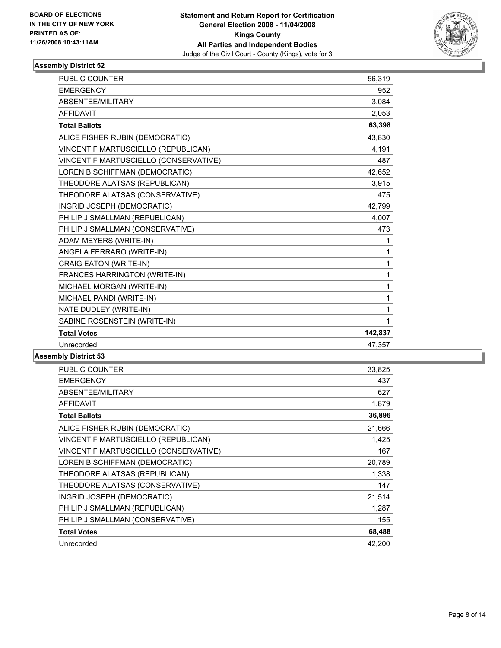

| PUBLIC COUNTER                        | 56,319  |  |
|---------------------------------------|---------|--|
| <b>EMERGENCY</b>                      | 952     |  |
| ABSENTEE/MILITARY                     | 3.084   |  |
| <b>AFFIDAVIT</b>                      | 2,053   |  |
| <b>Total Ballots</b>                  | 63.398  |  |
| ALICE FISHER RUBIN (DEMOCRATIC)       | 43,830  |  |
| VINCENT F MARTUSCIELLO (REPUBLICAN)   | 4,191   |  |
| VINCENT F MARTUSCIELLO (CONSERVATIVE) | 487     |  |
| LOREN B SCHIFFMAN (DEMOCRATIC)        | 42,652  |  |
| THEODORE ALATSAS (REPUBLICAN)         | 3,915   |  |
| THEODORE ALATSAS (CONSERVATIVE)       | 475     |  |
| INGRID JOSEPH (DEMOCRATIC)            | 42,799  |  |
| PHILIP J SMALLMAN (REPUBLICAN)        | 4,007   |  |
| PHILIP J SMALLMAN (CONSERVATIVE)      | 473     |  |
| ADAM MEYERS (WRITE-IN)                | 1       |  |
| ANGELA FERRARO (WRITE-IN)             | 1       |  |
| CRAIG EATON (WRITE-IN)                | 1       |  |
| FRANCES HARRINGTON (WRITE-IN)         | 1       |  |
| MICHAEL MORGAN (WRITE-IN)             | 1       |  |
| MICHAEL PANDI (WRITE-IN)              | 1       |  |
| NATE DUDLEY (WRITE-IN)                | 1       |  |
| SABINE ROSENSTEIN (WRITE-IN)          | 1       |  |
| <b>Total Votes</b>                    | 142,837 |  |
| Unrecorded                            | 47,357  |  |
|                                       |         |  |

| PUBLIC COUNTER                        | 33,825 |
|---------------------------------------|--------|
| <b>EMERGENCY</b>                      | 437    |
| ABSENTEE/MILITARY                     | 627    |
| <b>AFFIDAVIT</b>                      | 1,879  |
| <b>Total Ballots</b>                  | 36,896 |
| ALICE FISHER RUBIN (DEMOCRATIC)       | 21,666 |
| VINCENT F MARTUSCIELLO (REPUBLICAN)   | 1,425  |
| VINCENT F MARTUSCIELLO (CONSERVATIVE) | 167    |
| LOREN B SCHIFFMAN (DEMOCRATIC)        | 20,789 |
| THEODORE ALATSAS (REPUBLICAN)         | 1,338  |
| THEODORE ALATSAS (CONSERVATIVE)       | 147    |
| INGRID JOSEPH (DEMOCRATIC)            | 21,514 |
| PHILIP J SMALLMAN (REPUBLICAN)        | 1,287  |
| PHILIP J SMALLMAN (CONSERVATIVE)      | 155    |
| <b>Total Votes</b>                    | 68,488 |
| Unrecorded                            | 42,200 |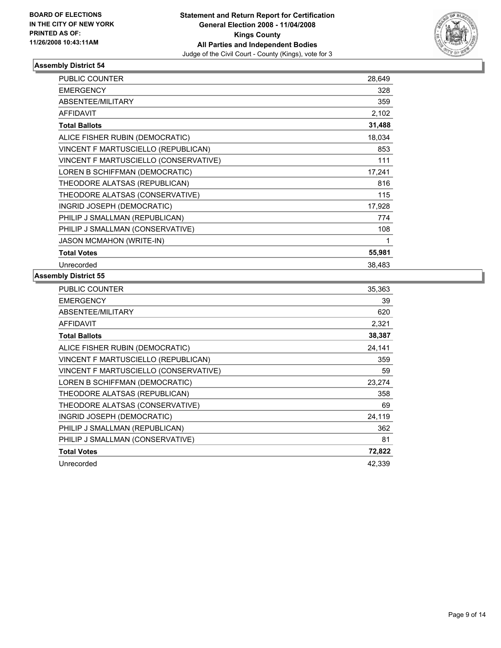

| <b>PUBLIC COUNTER</b>                 | 28,649 |
|---------------------------------------|--------|
| <b>EMERGENCY</b>                      | 328    |
| ABSENTEE/MILITARY                     | 359    |
| <b>AFFIDAVIT</b>                      | 2,102  |
| <b>Total Ballots</b>                  | 31,488 |
| ALICE FISHER RUBIN (DEMOCRATIC)       | 18,034 |
| VINCENT F MARTUSCIELLO (REPUBLICAN)   | 853    |
| VINCENT F MARTUSCIELLO (CONSERVATIVE) | 111    |
| LOREN B SCHIFFMAN (DEMOCRATIC)        | 17,241 |
| THEODORE ALATSAS (REPUBLICAN)         | 816    |
| THEODORE ALATSAS (CONSERVATIVE)       | 115    |
| INGRID JOSEPH (DEMOCRATIC)            | 17,928 |
| PHILIP J SMALLMAN (REPUBLICAN)        | 774    |
| PHILIP J SMALLMAN (CONSERVATIVE)      | 108    |
| <b>JASON MCMAHON (WRITE-IN)</b>       |        |
| <b>Total Votes</b>                    | 55,981 |
| Unrecorded                            | 38,483 |

| PUBLIC COUNTER                        | 35,363 |
|---------------------------------------|--------|
| <b>EMERGENCY</b>                      | 39     |
| ABSENTEE/MILITARY                     | 620    |
| <b>AFFIDAVIT</b>                      | 2,321  |
| <b>Total Ballots</b>                  | 38,387 |
| ALICE FISHER RUBIN (DEMOCRATIC)       | 24,141 |
| VINCENT F MARTUSCIELLO (REPUBLICAN)   | 359    |
| VINCENT F MARTUSCIELLO (CONSERVATIVE) | 59     |
| LOREN B SCHIFFMAN (DEMOCRATIC)        | 23,274 |
| THEODORE ALATSAS (REPUBLICAN)         | 358    |
| THEODORE ALATSAS (CONSERVATIVE)       | 69     |
| INGRID JOSEPH (DEMOCRATIC)            | 24,119 |
| PHILIP J SMALLMAN (REPUBLICAN)        | 362    |
| PHILIP J SMALLMAN (CONSERVATIVE)      | 81     |
| <b>Total Votes</b>                    | 72,822 |
| Unrecorded                            | 42.339 |
|                                       |        |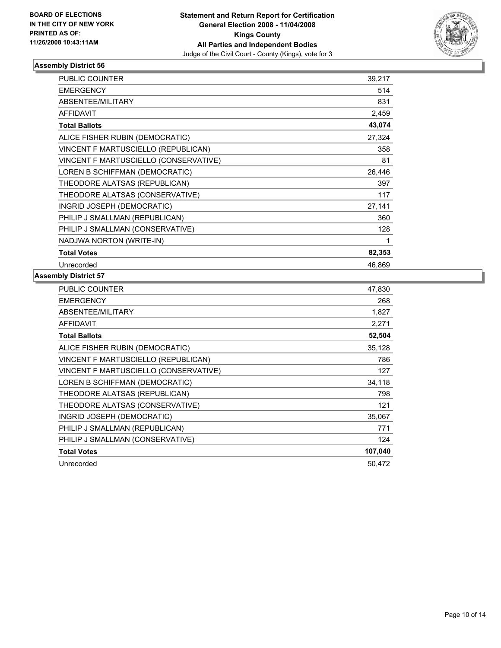

| <b>PUBLIC COUNTER</b>                 | 39,217 |
|---------------------------------------|--------|
| <b>EMERGENCY</b>                      | 514    |
| ABSENTEE/MILITARY                     | 831    |
| <b>AFFIDAVIT</b>                      | 2,459  |
| <b>Total Ballots</b>                  | 43,074 |
| ALICE FISHER RUBIN (DEMOCRATIC)       | 27,324 |
| VINCENT F MARTUSCIELLO (REPUBLICAN)   | 358    |
| VINCENT F MARTUSCIELLO (CONSERVATIVE) | 81     |
| LOREN B SCHIFFMAN (DEMOCRATIC)        | 26,446 |
| THEODORE ALATSAS (REPUBLICAN)         | 397    |
| THEODORE ALATSAS (CONSERVATIVE)       | 117    |
| INGRID JOSEPH (DEMOCRATIC)            | 27,141 |
| PHILIP J SMALLMAN (REPUBLICAN)        | 360    |
| PHILIP J SMALLMAN (CONSERVATIVE)      | 128    |
| NADJWA NORTON (WRITE-IN)              |        |
| <b>Total Votes</b>                    | 82,353 |
| Unrecorded                            | 46.869 |

| PUBLIC COUNTER                        | 47,830  |
|---------------------------------------|---------|
| <b>EMERGENCY</b>                      | 268     |
| ABSENTEE/MILITARY                     | 1,827   |
| <b>AFFIDAVIT</b>                      | 2,271   |
| <b>Total Ballots</b>                  | 52,504  |
| ALICE FISHER RUBIN (DEMOCRATIC)       | 35,128  |
| VINCENT F MARTUSCIELLO (REPUBLICAN)   | 786     |
| VINCENT F MARTUSCIELLO (CONSERVATIVE) | 127     |
| LOREN B SCHIFFMAN (DEMOCRATIC)        | 34,118  |
| THEODORE ALATSAS (REPUBLICAN)         | 798     |
| THEODORE ALATSAS (CONSERVATIVE)       | 121     |
| INGRID JOSEPH (DEMOCRATIC)            | 35,067  |
| PHILIP J SMALLMAN (REPUBLICAN)        | 771     |
| PHILIP J SMALLMAN (CONSERVATIVE)      | 124     |
| <b>Total Votes</b>                    | 107,040 |
| Unrecorded                            | 50.472  |
|                                       |         |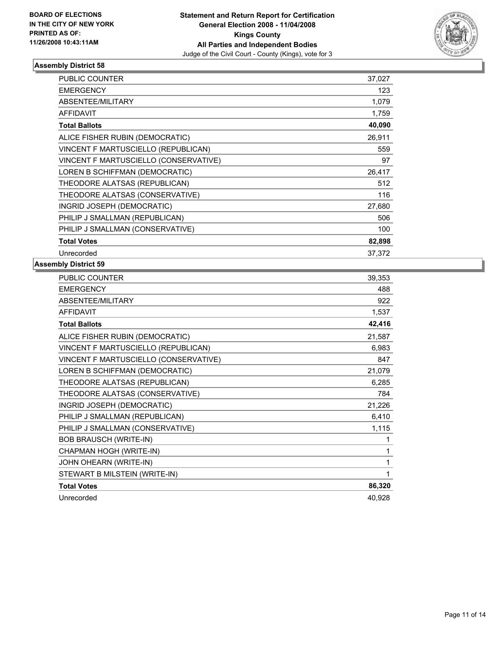

| PUBLIC COUNTER                        | 37,027 |  |
|---------------------------------------|--------|--|
| <b>EMERGENCY</b>                      | 123    |  |
| ABSENTEE/MILITARY                     | 1,079  |  |
| <b>AFFIDAVIT</b>                      | 1,759  |  |
| <b>Total Ballots</b>                  | 40,090 |  |
| ALICE FISHER RUBIN (DEMOCRATIC)       | 26,911 |  |
| VINCENT F MARTUSCIELLO (REPUBLICAN)   | 559    |  |
| VINCENT F MARTUSCIELLO (CONSERVATIVE) | 97     |  |
| LOREN B SCHIFFMAN (DEMOCRATIC)        | 26,417 |  |
| THEODORE ALATSAS (REPUBLICAN)         | 512    |  |
| THEODORE ALATSAS (CONSERVATIVE)       | 116    |  |
| INGRID JOSEPH (DEMOCRATIC)            | 27,680 |  |
| PHILIP J SMALLMAN (REPUBLICAN)        | 506    |  |
| PHILIP J SMALLMAN (CONSERVATIVE)      | 100    |  |
| <b>Total Votes</b>                    | 82,898 |  |
| Unrecorded                            | 37,372 |  |

| PUBLIC COUNTER                        | 39,353 |
|---------------------------------------|--------|
| <b>EMERGENCY</b>                      | 488    |
| ABSENTEE/MILITARY                     | 922    |
| <b>AFFIDAVIT</b>                      | 1,537  |
| <b>Total Ballots</b>                  | 42,416 |
| ALICE FISHER RUBIN (DEMOCRATIC)       | 21,587 |
| VINCENT F MARTUSCIELLO (REPUBLICAN)   | 6,983  |
| VINCENT F MARTUSCIELLO (CONSERVATIVE) | 847    |
| LOREN B SCHIFFMAN (DEMOCRATIC)        | 21,079 |
| THEODORE ALATSAS (REPUBLICAN)         | 6,285  |
| THEODORE ALATSAS (CONSERVATIVE)       | 784    |
| INGRID JOSEPH (DEMOCRATIC)            | 21,226 |
| PHILIP J SMALLMAN (REPUBLICAN)        | 6,410  |
| PHILIP J SMALLMAN (CONSERVATIVE)      | 1,115  |
| <b>BOB BRAUSCH (WRITE-IN)</b>         |        |
| CHAPMAN HOGH (WRITE-IN)               |        |
| JOHN OHEARN (WRITE-IN)                |        |
| STEWART B MILSTEIN (WRITE-IN)         |        |
| <b>Total Votes</b>                    | 86,320 |
| Unrecorded                            | 40,928 |
|                                       |        |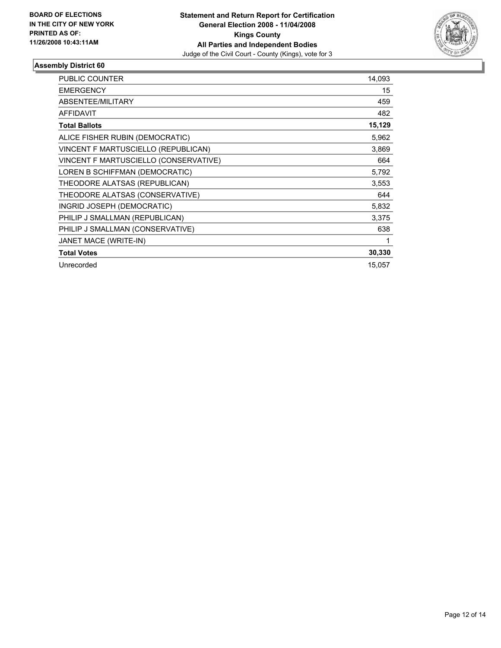

| <b>PUBLIC COUNTER</b>                 | 14,093 |
|---------------------------------------|--------|
| <b>EMERGENCY</b>                      | 15     |
| ABSENTEE/MILITARY                     | 459    |
| <b>AFFIDAVIT</b>                      | 482    |
| <b>Total Ballots</b>                  | 15,129 |
| ALICE FISHER RUBIN (DEMOCRATIC)       | 5,962  |
| VINCENT F MARTUSCIELLO (REPUBLICAN)   | 3,869  |
| VINCENT F MARTUSCIELLO (CONSERVATIVE) | 664    |
| LOREN B SCHIFFMAN (DEMOCRATIC)        | 5,792  |
| THEODORE ALATSAS (REPUBLICAN)         | 3,553  |
| THEODORE ALATSAS (CONSERVATIVE)       | 644    |
| INGRID JOSEPH (DEMOCRATIC)            | 5,832  |
| PHILIP J SMALLMAN (REPUBLICAN)        | 3,375  |
| PHILIP J SMALLMAN (CONSERVATIVE)      | 638    |
| JANET MACE (WRITE-IN)                 |        |
| <b>Total Votes</b>                    | 30,330 |
| Unrecorded                            | 15,057 |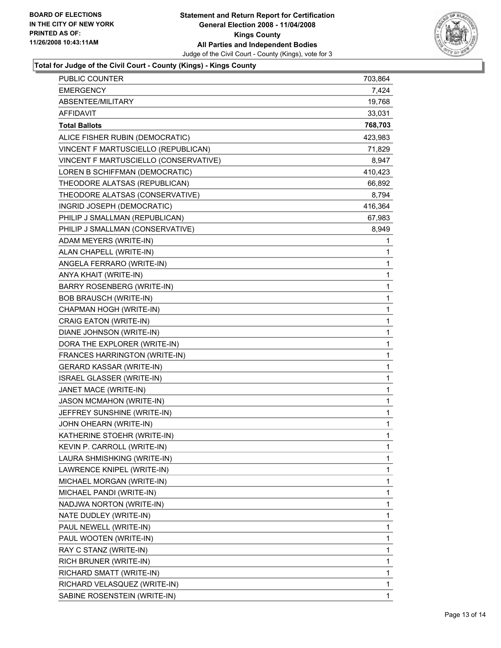

# **Total for Judge of the Civil Court - County (Kings) - Kings County**

| PUBLIC COUNTER                        | 703,864 |
|---------------------------------------|---------|
| <b>EMERGENCY</b>                      | 7,424   |
| ABSENTEE/MILITARY                     | 19,768  |
| <b>AFFIDAVIT</b>                      | 33,031  |
| <b>Total Ballots</b>                  | 768,703 |
| ALICE FISHER RUBIN (DEMOCRATIC)       | 423,983 |
| VINCENT F MARTUSCIELLO (REPUBLICAN)   | 71,829  |
| VINCENT F MARTUSCIELLO (CONSERVATIVE) | 8,947   |
| LOREN B SCHIFFMAN (DEMOCRATIC)        | 410,423 |
| THEODORE ALATSAS (REPUBLICAN)         | 66,892  |
| THEODORE ALATSAS (CONSERVATIVE)       | 8,794   |
| INGRID JOSEPH (DEMOCRATIC)            | 416,364 |
| PHILIP J SMALLMAN (REPUBLICAN)        | 67,983  |
| PHILIP J SMALLMAN (CONSERVATIVE)      | 8,949   |
| ADAM MEYERS (WRITE-IN)                | 1       |
| ALAN CHAPELL (WRITE-IN)               | 1       |
| ANGELA FERRARO (WRITE-IN)             | 1       |
| ANYA KHAIT (WRITE-IN)                 | 1       |
| <b>BARRY ROSENBERG (WRITE-IN)</b>     | 1       |
| <b>BOB BRAUSCH (WRITE-IN)</b>         | 1       |
| CHAPMAN HOGH (WRITE-IN)               | 1       |
| CRAIG EATON (WRITE-IN)                | 1       |
| DIANE JOHNSON (WRITE-IN)              | 1       |
| DORA THE EXPLORER (WRITE-IN)          | 1       |
| FRANCES HARRINGTON (WRITE-IN)         | 1       |
| <b>GERARD KASSAR (WRITE-IN)</b>       | 1       |
| ISRAEL GLASSER (WRITE-IN)             | 1       |
| JANET MACE (WRITE-IN)                 | 1       |
| <b>JASON MCMAHON (WRITE-IN)</b>       | 1       |
| JEFFREY SUNSHINE (WRITE-IN)           | 1       |
| JOHN OHEARN (WRITE-IN)                | 1       |
| KATHERINE STOEHR (WRITE-IN)           | 1       |
| KEVIN P. CARROLL (WRITE-IN)           | 1       |
| LAURA SHMISHKING (WRITE-IN)           | 1       |
| LAWRENCE KNIPEL (WRITE-IN)            | 1       |
| MICHAEL MORGAN (WRITE-IN)             | 1       |
| MICHAEL PANDI (WRITE-IN)              | 1       |
| NADJWA NORTON (WRITE-IN)              | 1       |
| NATE DUDLEY (WRITE-IN)                | 1       |
| PAUL NEWELL (WRITE-IN)                | 1       |
| PAUL WOOTEN (WRITE-IN)                | 1       |
| RAY C STANZ (WRITE-IN)                | 1       |
| RICH BRUNER (WRITE-IN)                | 1       |
| RICHARD SMATT (WRITE-IN)              | 1       |
| RICHARD VELASQUEZ (WRITE-IN)          | 1       |
| SABINE ROSENSTEIN (WRITE-IN)          | 1       |